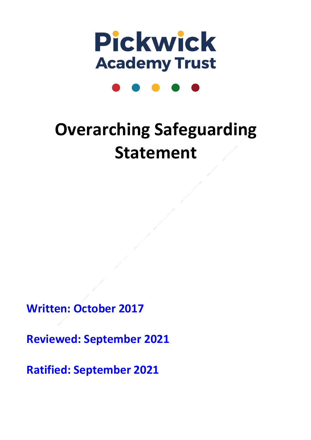

# **Overarching Safeguarding Statement**

**Written: October 2017**

**Reviewed: September 2021**

**Ratified: September 2021**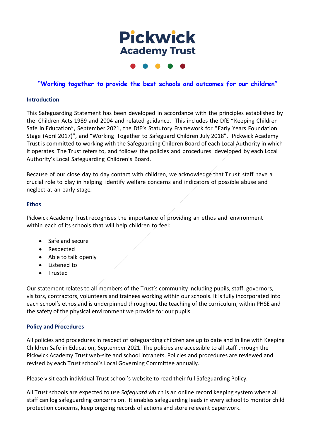# **Pickwick Academy Trust**

# **"Working together to provide the best schools and outcomes for our children"**

#### **Introduction**

This Safeguarding Statement has been developed in accordance with the principles established by the Children Acts 1989 and 2004 and related guidance. This includes the DfE "Keeping Children Safe in Education", September 2021, the DfE's Statutory Framework for "Early Years Foundation Stage (April 2017)", and "Working Together to Safeguard Children July 2018". Pickwick Academy Trust is committed to working with the Safeguarding Children Board of each Local Authority in which it operates. The Trust refers to, and follows the policies and procedures developed by each Local Authority's Local Safeguarding Children's Board.

Because of our close day to day contact with children, we acknowledge that Trust staff have a crucial role to play in helping identify welfare concerns and indicators of possible abuse and neglect at an early stage*.*

#### **Ethos**

Pickwick Academy Trust recognises the importance of providing an ethos and environment within each of its schools that will help children to feel:

- Safe and secure
- Respected
- Able to talk openly
- Listened to
- Trusted

Our statement relates to all members of the Trust's community including pupils, staff, governors, visitors, contractors, volunteers and trainees working within our schools. It is fully incorporated into each school's ethos and is underpinned throughout the teaching of the curriculum, within PHSE and the safety of the physical environment we provide for our pupils.

#### **Policy and Procedures**

All policies and procedures in respect of safeguarding children are up to date and in line with Keeping Children Safe in Education, September 2021. The policies are accessible to all staff through the Pickwick Academy Trust web-site and school intranets. Policies and procedures are reviewed and revised by each Trust school's Local Governing Committee annually.

Please visit each individual Trust school's website to read their full Safeguarding Policy.

All Trust schools are expected to use *Safeguard* which is an online record keeping system where all staff can log safeguarding concerns on. It enables safeguarding leads in every school to monitor child protection concerns, keep ongoing records of actions and store relevant paperwork.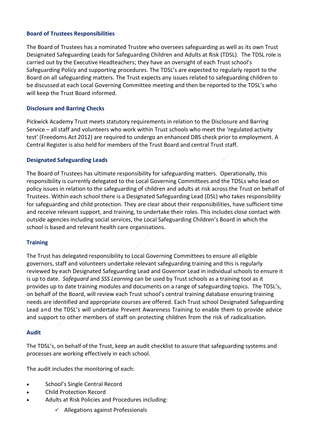### **Board of Trustees Responsibilities**

The Board of Trustees has a nominated Trustee who oversees safeguarding as well as its own Trust Designated Safeguarding Leads for Safeguarding Children and Adults at Risk (TDSL). The TDSL role is carried out by the Executive Headteachers; they have an oversight of each Trust school's Safeguarding Policy and supporting procedures. The TDSL's are expected to regularly report to the Board on all safeguarding matters. The Trust expects any issues related to safeguarding children to be discussed at each Local Governing Committee meeting and then be reported to the TDSL's who will keep the Trust Board informed.

## **Disclosure and Barring Checks**

Pickwick Academy Trust meets statutory requirements in relation to the Disclosure and Barring Service – all staff and volunteers who work within Trust schools who meet the 'regulated activity test' (Freedoms Act 2012) are required to undergo an enhanced DBS check prior to employment. A Central Register is also held for members of the Trust Board and central Trust staff.

## **Designated Safeguarding Leads**

The Board of Trustees has ultimate responsibility for safeguarding matters. Operationally, this responsibility is currently delegated to the Local Governing Committees and the TDSLs who lead on policy issues in relation to the safeguarding of children and adults at risk across the Trust on behalf of Trustees. Within each school there is a Designated Safeguarding Lead (DSL) who takes responsibility for safeguarding and child protection. They are clear about their responsibilities, have sufficient time and receive relevant support, and training, to undertake their roles. This includes close contact with outside agencies including social services, the Local Safeguarding Children's Board in which the school is based and relevant health care organisations.

# **Training**

The Trust has delegated responsibility to Local Governing Committees to ensure all eligible governors, staff and volunteers undertake relevant safeguarding training and this is regularly reviewed by each Designated Safeguarding Lead and Governor Lead in individual schools to ensure it is up to date. *Safeguard* and *SSS Learning* can be used by Trust schools as a training tool as it provides up to date training modules and documents on a range of safeguarding topics. The TDSL's, on behalf of the Board, will review each Trust school's central training database ensuring training needs are identified and appropriate courses are offered. Each Trust school Designated Safeguarding Lead and the TDSL's will undertake Prevent Awareness Training to enable them to provide advice and support to other members of staff on protecting children from the risk of radicalisation.

#### **Audit**

The TDSL's, on behalf of the Trust, keep an audit checklist to assure that safeguarding systems and processes are working effectively in each school.

The audit includes the monitoring of each:

- School's Single Central Record
- Child Protection Record
- Adults at Risk Policies and Procedures including:
	- $\checkmark$  Allegations against Professionals